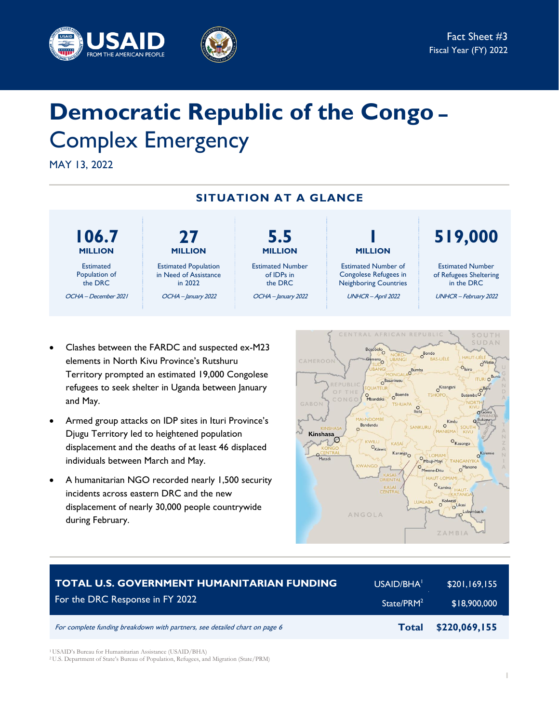



# **Democratic Republic of the Congo –** Complex Emergency

MAY 13, 2022



- Clashes between the FARDC and suspected ex-M23 elements in North Kivu Province's Rutshuru Territory prompted an estimated 19,000 Congolese refugees to seek shelter in Uganda between January and May.
- Armed group attacks on IDP sites in Ituri Province's Djugu Territory led to heightened population displacement and the deaths of at least 46 displaced individuals between March and May.
- A humanitarian NGO recorded nearly 1,500 security incidents across eastern DRC and the new displacement of nearly 30,000 people countrywide during February.



| <b>TOTAL U.S. GOVERNMENT HUMANITARIAN FUNDING</b>                          | USAID/BHA <sup>1</sup> | \$201,169,155 |
|----------------------------------------------------------------------------|------------------------|---------------|
| For the DRC Response in FY 2022                                            | State/PRM <sup>2</sup> | \$18,900,000  |
| For complete funding breakdown with partners, see detailed chart on page 6 | <b>Total</b>           | \$220,069,155 |

<sup>1</sup> USAID's Bureau for Humanitarian Assistance (USAID/BHA)

<sup>2</sup>U.S. Department of State's Bureau of Population, Refugees, and Migration (State/PRM)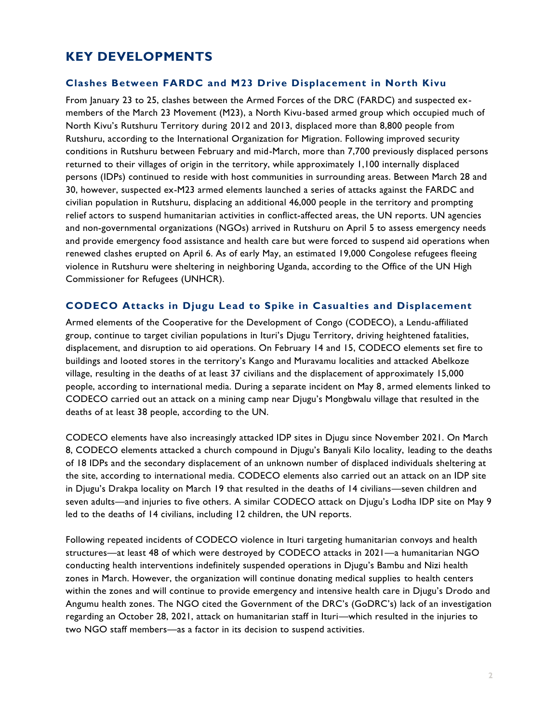# **KEY DEVELOPMENTS**

#### **Clashes Between FARDC and M23 Drive Displacement in North Kivu**

From January 23 to 25, clashes between the Armed Forces of the DRC (FARDC) and suspected exmembers of the March 23 Movement (M23), a North Kivu-based armed group which occupied much of North Kivu's Rutshuru Territory during 2012 and 2013, displaced more than 8,800 people from Rutshuru, according to the International Organization for Migration. Following improved security conditions in Rutshuru between February and mid-March, more than 7,700 previously displaced persons returned to their villages of origin in the territory, while approximately 1,100 internally displaced persons (IDPs) continued to reside with host communities in surrounding areas. Between March 28 and 30, however, suspected ex-M23 armed elements launched a series of attacks against the FARDC and civilian population in Rutshuru, displacing an additional 46,000 people in the territory and prompting relief actors to suspend humanitarian activities in conflict-affected areas, the UN reports. UN agencies and non-governmental organizations (NGOs) arrived in Rutshuru on April 5 to assess emergency needs and provide emergency food assistance and health care but were forced to suspend aid operations when renewed clashes erupted on April 6. As of early May, an estimated 19,000 Congolese refugees fleeing violence in Rutshuru were sheltering in neighboring Uganda, according to the Office of the UN High Commissioner for Refugees (UNHCR).

#### **CODECO Attacks in Djugu Lead to Spike in Casualties and Displacement**

Armed elements of the Cooperative for the Development of Congo (CODECO), a Lendu-affiliated group, continue to target civilian populations in Ituri's Djugu Territory, driving heightened fatalities, displacement, and disruption to aid operations. On February 14 and 15, CODECO elements set fire to buildings and looted stores in the territory's Kango and Muravamu localities and attacked Abelkoze village, resulting in the deaths of at least 37 civilians and the displacement of approximately 15,000 people, according to international media. During a separate incident on May 8, armed elements linked to CODECO carried out an attack on a mining camp near Djugu's Mongbwalu village that resulted in the deaths of at least 38 people, according to the UN.

CODECO elements have also increasingly attacked IDP sites in Djugu since November 2021. On March 8, CODECO elements attacked a church compound in Djugu's Banyali Kilo locality, leading to the deaths of 18 IDPs and the secondary displacement of an unknown number of displaced individuals sheltering at the site, according to international media. CODECO elements also carried out an attack on an IDP site in Djugu's Drakpa locality on March 19 that resulted in the deaths of 14 civilians—seven children and seven adults—and injuries to five others. A similar CODECO attack on Djugu's Lodha IDP site on May 9 led to the deaths of 14 civilians, including 12 children, the UN reports.

Following repeated incidents of CODECO violence in Ituri targeting humanitarian convoys and health structures—at least 48 of which were destroyed by CODECO attacks in 2021—a humanitarian NGO conducting health interventions indefinitely suspended operations in Djugu's Bambu and Nizi health zones in March. However, the organization will continue donating medical supplies to health centers within the zones and will continue to provide emergency and intensive health care in Djugu's Drodo and Angumu health zones. The NGO cited the Government of the DRC's (GoDRC's) lack of an investigation regarding an October 28, 2021, attack on humanitarian staff in Ituri—which resulted in the injuries to two NGO staff members—as a factor in its decision to suspend activities.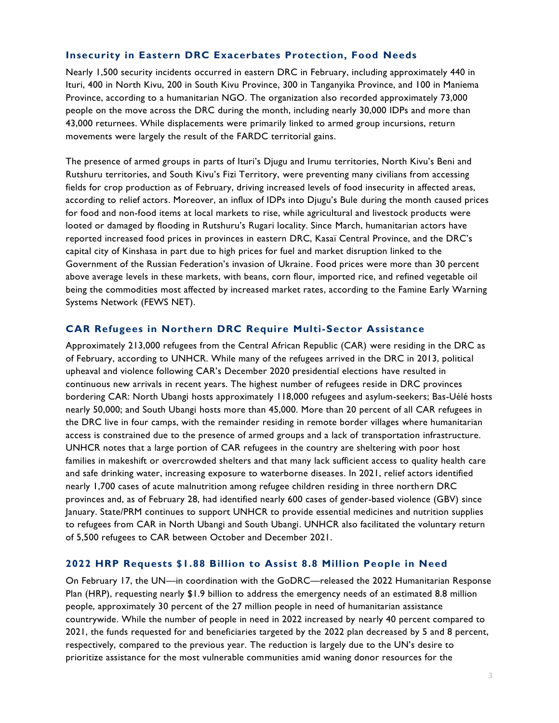# **Insecurity in Eastern DRC Exacerbates Protection, Food Needs**

Nearly 1,500 security incidents occurred in eastern DRC in February, including approximately 440 in Ituri, 400 in North Kivu, 200 in South Kivu Province, 300 in Tanganyika Province, and 100 in Maniema Province, according to a humanitarian NGO. The organization also recorded approximately 73,000 people on the move across the DRC during the month, including nearly 30,000 IDPs and more than 43,000 returnees. While displacements were primarily linked to armed group incursions, return movements were largely the result of the FARDC territorial gains.

The presence of armed groups in parts of Ituri's Djugu and Irumu territories, North Kivu's Beni and Rutshuru territories, and South Kivu's Fizi Territory, were preventing many civilians from accessing fields for crop production as of February, driving increased levels of food insecurity in affected areas, according to relief actors. Moreover, an influx of IDPs into Djugu's Bule during the month caused prices for food and non-food items at local markets to rise, while agricultural and livestock products were looted or damaged by flooding in Rutshuru's Rugari locality. Since March, humanitarian actors have reported increased food prices in provinces in eastern DRC, Kasaï Central Province, and the DRC's capital city of Kinshasa in part due to high prices for fuel and market disruption linked to the Government of the Russian Federation's invasion of Ukraine. Food prices were more than 30 percent above average levels in these markets, with beans, corn flour, imported rice, and refined vegetable oil being the commodities most affected by increased market rates, according to the Famine Early Warning Systems Network (FEWS NET).

#### **CAR Refugees in Northern DRC Require Multi-Sector Assistance**

Approximately 213,000 refugees from the Central African Republic (CAR) were residing in the DRC as of February, according to UNHCR. While many of the refugees arrived in the DRC in 2013, political upheaval and violence following CAR's December 2020 presidential elections have resulted in continuous new arrivals in recent years. The highest number of refugees reside in DRC provinces bordering CAR: North Ubangi hosts approximately 118,000 refugees and asylum-seekers; Bas-Uélé hosts nearly 50,000; and South Ubangi hosts more than 45,000. More than 20 percent of all CAR refugees in the DRC live in four camps, with the remainder residing in remote border villages where humanitarian access is constrained due to the presence of armed groups and a lack of transportation infrastructure. UNHCR notes that a large portion of CAR refugees in the country are sheltering with poor host families in makeshift or overcrowded shelters and that many lack sufficient access to quality health care and safe drinking water, increasing exposure to waterborne diseases. In 2021, relief actors identified nearly 1,700 cases of acute malnutrition among refugee children residing in three northern DRC provinces and, as of February 28, had identified nearly 600 cases of gender-based violence (GBV) since January. State/PRM continues to support UNHCR to provide essential medicines and nutrition supplies to refugees from CAR in North Ubangi and South Ubangi. UNHCR also facilitated the voluntary return of 5,500 refugees to CAR between October and December 2021.

#### **2022 HRP Requests \$1.88 Billion to Assis t 8.8 Million People in Need**

On February 17, the UN—in coordination with the GoDRC—released the 2022 Humanitarian Response Plan (HRP), requesting nearly \$1.9 billion to address the emergency needs of an estimated 8.8 million people, approximately 30 percent of the 27 million people in need of humanitarian assistance countrywide. While the number of people in need in 2022 increased by nearly 40 percent compared to 2021, the funds requested for and beneficiaries targeted by the 2022 plan decreased by 5 and 8 percent, respectively, compared to the previous year. The reduction is largely due to the UN's desire to prioritize assistance for the most vulnerable communities amid waning donor resources for the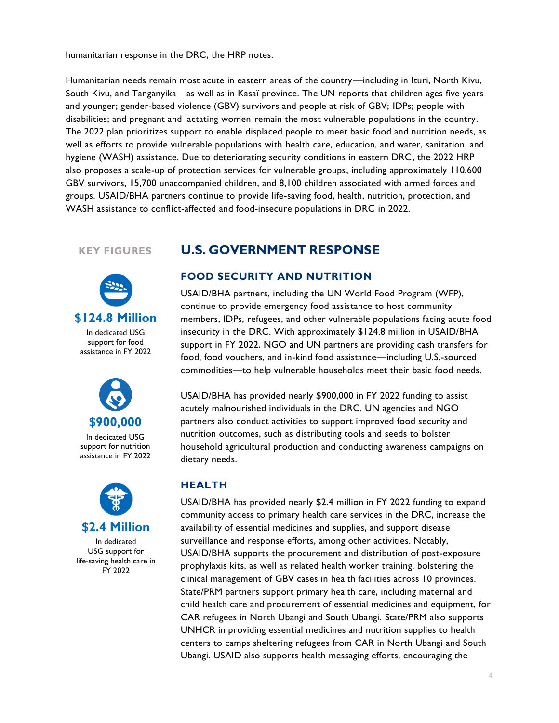humanitarian response in the DRC, the HRP notes.

Humanitarian needs remain most acute in eastern areas of the country—including in Ituri, North Kivu, South Kivu, and Tanganyika—as well as in Kasaï province. The UN reports that children ages five years and younger; gender-based violence (GBV) survivors and people at risk of GBV; IDPs; people with disabilities; and pregnant and lactating women remain the most vulnerable populations in the country. The 2022 plan prioritizes support to enable displaced people to meet basic food and nutrition needs, as well as efforts to provide vulnerable populations with health care, education, and water, sanitation, and hygiene (WASH) assistance. Due to deteriorating security conditions in eastern DRC, the 2022 HRP also proposes a scale-up of protection services for vulnerable groups, including approximately 110,600 GBV survivors, 15,700 unaccompanied children, and 8,100 children associated with armed forces and groups. USAID/BHA partners continue to provide life-saving food, health, nutrition, protection, and WASH assistance to conflict-affected and food-insecure populations in DRC in 2022.

## **KEY FIGURES**





In dedicated USG support for nutrition assistance in FY 2022



In dedicated USG support for life-saving health care in FY 2022

# **U.S. GOVERNMENT RESPONSE**

#### **FOOD SECURITY AND NUTRITION**

USAID/BHA partners, including the UN World Food Program (WFP), continue to provide emergency food assistance to host community members, IDPs, refugees, and other vulnerable populations facing acute food insecurity in the DRC. With approximately \$124.8 million in USAID/BHA support in FY 2022, NGO and UN partners are providing cash transfers for food, food vouchers, and in-kind food assistance—including U.S.-sourced commodities—to help vulnerable households meet their basic food needs.

USAID/BHA has provided nearly \$900,000 in FY 2022 funding to assist acutely malnourished individuals in the DRC. UN agencies and NGO partners also conduct activities to support improved food security and nutrition outcomes, such as distributing tools and seeds to bolster household agricultural production and conducting awareness campaigns on dietary needs.

#### **HEALTH**

USAID/BHA has provided nearly \$2.4 million in FY 2022 funding to expand community access to primary health care services in the DRC, increase the availability of essential medicines and supplies, and support disease surveillance and response efforts, among other activities. Notably, USAID/BHA supports the procurement and distribution of post-exposure prophylaxis kits, as well as related health worker training, bolstering the clinical management of GBV cases in health facilities across 10 provinces. State/PRM partners support primary health care, including maternal and child health care and procurement of essential medicines and equipment, for CAR refugees in North Ubangi and South Ubangi. State/PRM also supports UNHCR in providing essential medicines and nutrition supplies to health centers to camps sheltering refugees from CAR in North Ubangi and South Ubangi. USAID also supports health messaging efforts, encouraging the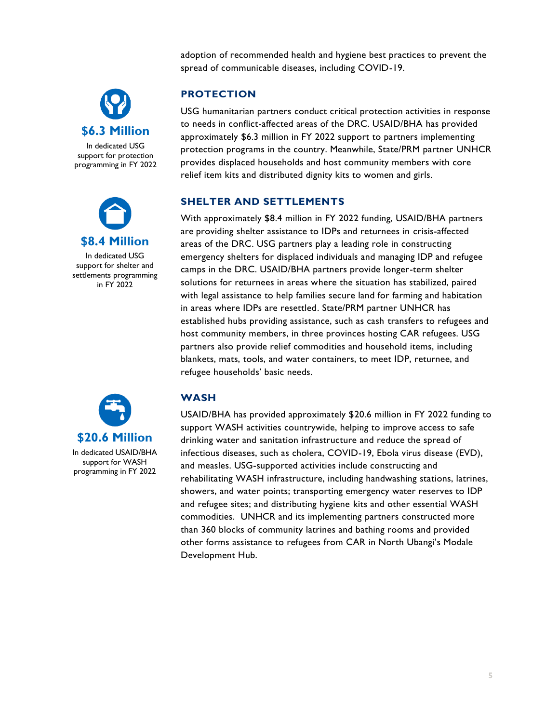adoption of recommended health and hygiene best practices to prevent the spread of communicable diseases, including COVID-19.



In dedicated USG support for protection programming in FY 2022



In dedicated USG support for shelter and settlements programming in FY 2022



# **PROTECTION**

USG humanitarian partners conduct critical protection activities in response to needs in conflict-affected areas of the DRC. USAID/BHA has provided approximately \$6.3 million in FY 2022 support to partners implementing protection programs in the country. Meanwhile, State/PRM partner UNHCR provides displaced households and host community members with core relief item kits and distributed dignity kits to women and girls.

# **SHELTER AND SETTLEMENTS**

With approximately \$8.4 million in FY 2022 funding, USAID/BHA partners are providing shelter assistance to IDPs and returnees in crisis-affected areas of the DRC. USG partners play a leading role in constructing emergency shelters for displaced individuals and managing IDP and refugee camps in the DRC. USAID/BHA partners provide longer-term shelter solutions for returnees in areas where the situation has stabilized, paired with legal assistance to help families secure land for farming and habitation in areas where IDPs are resettled. State/PRM partner UNHCR has established hubs providing assistance, such as cash transfers to refugees and host community members, in three provinces hosting CAR refugees. USG partners also provide relief commodities and household items, including blankets, mats, tools, and water containers, to meet IDP, returnee, and refugee households' basic needs.

# **WASH**

USAID/BHA has provided approximately \$20.6 million in FY 2022 funding to support WASH activities countrywide, helping to improve access to safe drinking water and sanitation infrastructure and reduce the spread of infectious diseases, such as cholera, COVID-19, Ebola virus disease (EVD), and measles. USG-supported activities include constructing and rehabilitating WASH infrastructure, including handwashing stations, latrines, showers, and water points; transporting emergency water reserves to IDP and refugee sites; and distributing hygiene kits and other essential WASH commodities. UNHCR and its implementing partners constructed more than 360 blocks of community latrines and bathing rooms and provided other forms assistance to refugees from CAR in North Ubangi's Modale Development Hub.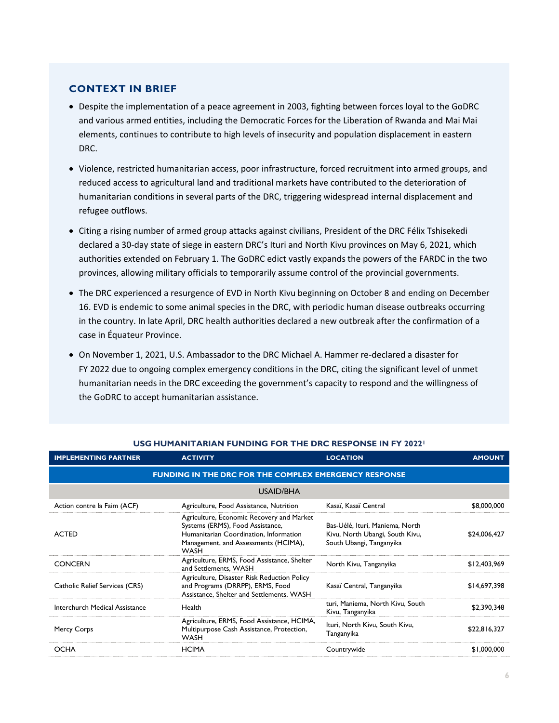## **CONTEXT IN BRIEF**

- Despite the implementation of a peace agreement in 2003, fighting between forces loyal to the GoDRC and various armed entities, including the Democratic Forces for the Liberation of Rwanda and Mai Mai elements, continues to contribute to high levels of insecurity and population displacement in eastern DRC.
- Violence, restricted humanitarian access, poor infrastructure, forced recruitment into armed groups, and reduced access to agricultural land and traditional markets have contributed to the deterioration of humanitarian conditions in several parts of the DRC, triggering widespread internal displacement and refugee outflows.
- Citing a rising number of armed group attacks against civilians, President of the DRC Félix Tshisekedi declared a 30-day state of siege in eastern DRC's Ituri and North Kivu provinces on May 6, 2021, which authorities extended on February 1. The GoDRC edict vastly expands the powers of the FARDC in the two provinces, allowing military officials to temporarily assume control of the provincial governments.
- The DRC experienced a resurgence of EVD in North Kivu beginning on October 8 and ending on December 16. EVD is endemic to some animal species in the DRC, with periodic human disease outbreaks occurring in the country. In late April, DRC health authorities declared a new outbreak after the confirmation of a case in Équateur Province.
- On November 1, 2021, U.S. Ambassador to the DRC Michael A. Hammer re-declared a disaster for FY 2022 due to ongoing complex emergency conditions in the DRC, citing the significant level of unmet humanitarian needs in the DRC exceeding the government's capacity to respond and the willingness of the GoDRC to accept humanitarian assistance.

| <b>IMPLEMENTING PARTNER</b>                                  | <b>ACTIVITY</b>                                                                                                                                                                | <b>LOCATION</b>                                                                                | <b>AMOUNT</b> |  |  |
|--------------------------------------------------------------|--------------------------------------------------------------------------------------------------------------------------------------------------------------------------------|------------------------------------------------------------------------------------------------|---------------|--|--|
| <b>FUNDING IN THE DRC FOR THE COMPLEX EMERGENCY RESPONSE</b> |                                                                                                                                                                                |                                                                                                |               |  |  |
| USAID/BHA                                                    |                                                                                                                                                                                |                                                                                                |               |  |  |
| Action contre la Faim (ACF)                                  | Agriculture, Food Assistance, Nutrition                                                                                                                                        | Kasaï, Kasaï Central                                                                           | \$8,000,000   |  |  |
| <b>ACTED</b>                                                 | Agriculture, Economic Recovery and Market<br>Systems (ERMS), Food Assistance,<br>Humanitarian Coordination, Information<br>Management, and Assessments (HCIMA),<br><b>WASH</b> | Bas-Uélé, Ituri, Maniema, North<br>Kivu, North Ubangi, South Kivu,<br>South Ubangi, Tanganyika | \$24,006,427  |  |  |
| <b>CONCERN</b>                                               | Agriculture, ERMS, Food Assistance, Shelter<br>and Settlements, WASH                                                                                                           | North Kivu, Tanganyika                                                                         | \$12,403,969  |  |  |
| Catholic Relief Services (CRS)                               | Agriculture, Disaster Risk Reduction Policy<br>and Programs (DRRPP), ERMS, Food<br>Assistance, Shelter and Settlements, WASH                                                   | Kasaï Central, Tanganyika                                                                      | \$14,697,398  |  |  |
| Interchurch Medical Assistance                               | Health                                                                                                                                                                         | turi, Maniema, North Kivu, South<br>Kivu, Tanganyika                                           | \$2,390,348   |  |  |
| Mercy Corps                                                  | Agriculture, ERMS, Food Assistance, HCIMA,<br>Multipurpose Cash Assistance, Protection,<br><b>WASH</b>                                                                         | Ituri, North Kivu, South Kivu,<br>Tanganyika                                                   | \$22,816,327  |  |  |
| <b>OCHA</b>                                                  | <b>HCIMA</b>                                                                                                                                                                   | Countrywide                                                                                    | \$1,000,000   |  |  |

# **USG HUMANITARIAN FUNDING FOR THE DRC RESPONSE IN FY 2022<sup>1</sup>**